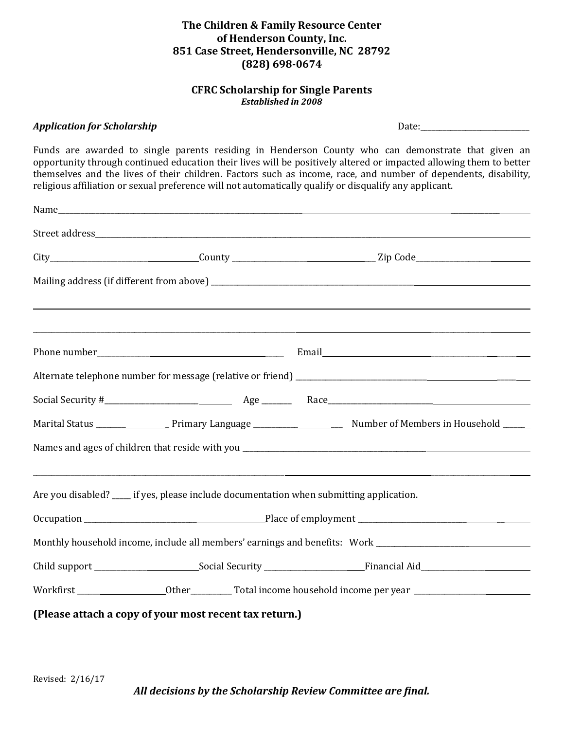## **The Children & Family Resource Center of Henderson County, Inc. 851 Case Street, Hendersonville, NC 28792 (828) 698-0674**

## **CFRC Scholarship for Single Parents** *Established in 2008*

## *Application for Scholarship* Date:\_\_\_\_\_\_\_\_\_\_\_\_\_\_\_\_\_\_\_\_\_\_\_\_\_\_\_\_\_

Funds are awarded to single parents residing in Henderson County who can demonstrate that given an opportunity through continued education their lives will be positively altered or impacted allowing them to better themselves and the lives of their children. Factors such as income, race, and number of dependents, disability, religious affiliation or sexual preference will not automatically qualify or disqualify any applicant.

|  |                                                                                           | <u> 2000 - Jan Barat de Barat de la Barat de la Barat de la Barat de la Barat de la Barat de la Barat de la Bara</u> |
|--|-------------------------------------------------------------------------------------------|----------------------------------------------------------------------------------------------------------------------|
|  |                                                                                           |                                                                                                                      |
|  |                                                                                           |                                                                                                                      |
|  |                                                                                           |                                                                                                                      |
|  |                                                                                           |                                                                                                                      |
|  |                                                                                           |                                                                                                                      |
|  |                                                                                           |                                                                                                                      |
|  | Are you disabled? _____ if yes, please include documentation when submitting application. |                                                                                                                      |
|  |                                                                                           |                                                                                                                      |
|  |                                                                                           | Monthly household income, include all members' earnings and benefits: Work ________________________                  |
|  |                                                                                           |                                                                                                                      |
|  |                                                                                           |                                                                                                                      |
|  | (Please attach a copy of your most recent tax return.)                                    |                                                                                                                      |

*All decisions by the Scholarship Review Committee are final.*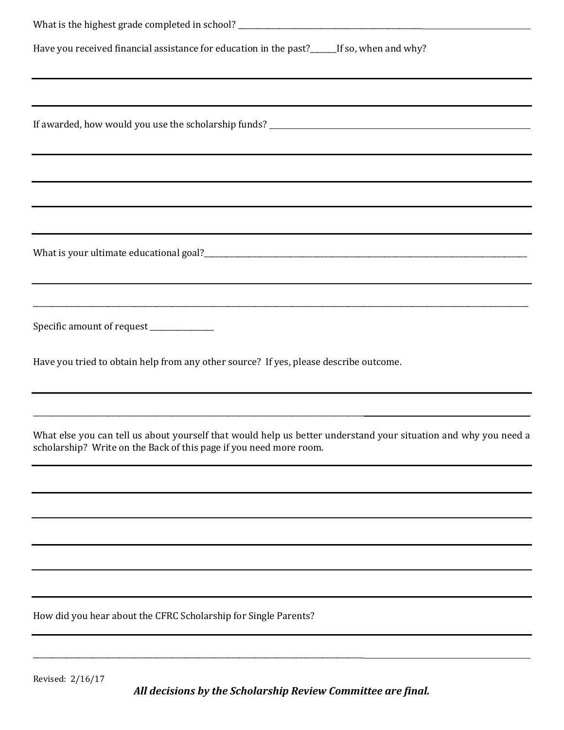| Have you received financial assistance for education in the past?______If so, when and why?                          |
|----------------------------------------------------------------------------------------------------------------------|
| ,我们也不会有什么。""我们的人,我们也不会有什么?""我们的人,我们也不会有什么?""我们的人,我们也不会有什么?""我们的人,我们也不会有什么?""我们的人                                     |
|                                                                                                                      |
| ,我们也不会有什么。""我们的人,我们也不会有什么?""我们的人,我们也不会有什么?""我们的人,我们也不会有什么?""我们的人,我们也不会有什么?""我们的人                                     |
|                                                                                                                      |
| <u> 1989 - Jan Samuel Barbara, margaret amerikan bahasa di sebagai bahasa di sebagai bahasa di sebagai bahasa di</u> |
|                                                                                                                      |
| Specific amount of request _____________                                                                             |
| Have you tried to obtain help from any other source? If yes, please describe outcome.                                |
| What else you can tell us about yourself that would help us better understand your situation and why you need a      |
| scholarship? Write on the Back of this page if you need more room.                                                   |
|                                                                                                                      |
|                                                                                                                      |
|                                                                                                                      |
| How did you hear about the CFRC Scholarship for Single Parents?                                                      |
|                                                                                                                      |